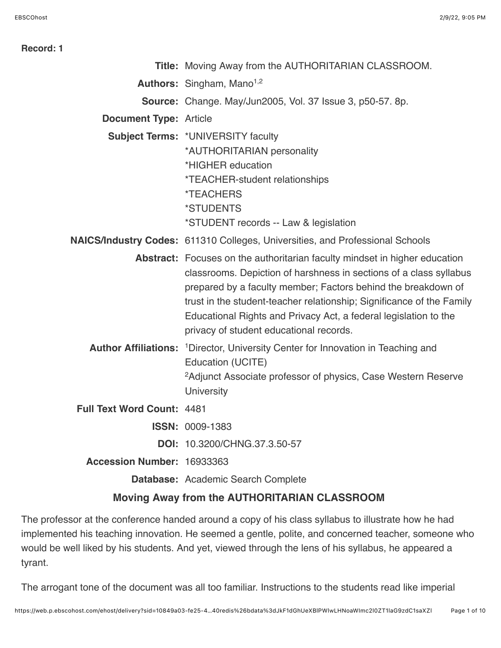## **Record: 1**

|                               | Title: Moving Away from the AUTHORITARIAN CLASSROOM.                                                                                                                                                                                                                                                                                                                                                             |
|-------------------------------|------------------------------------------------------------------------------------------------------------------------------------------------------------------------------------------------------------------------------------------------------------------------------------------------------------------------------------------------------------------------------------------------------------------|
|                               | <b>Authors:</b> Singham, Mano <sup>1,2</sup>                                                                                                                                                                                                                                                                                                                                                                     |
|                               | Source: Change. May/Jun2005, Vol. 37 Issue 3, p50-57. 8p.                                                                                                                                                                                                                                                                                                                                                        |
| <b>Document Type: Article</b> |                                                                                                                                                                                                                                                                                                                                                                                                                  |
|                               | <b>Subject Terms: * UNIVERSITY faculty</b><br>*AUTHORITARIAN personality<br>*HIGHER education<br>*TEACHER-student relationships<br><i><b>*TEACHERS</b></i>                                                                                                                                                                                                                                                       |
|                               | *STUDENTS                                                                                                                                                                                                                                                                                                                                                                                                        |
|                               | *STUDENT records -- Law & legislation                                                                                                                                                                                                                                                                                                                                                                            |
|                               | <b>NAICS/Industry Codes:</b> 611310 Colleges, Universities, and Professional Schools                                                                                                                                                                                                                                                                                                                             |
|                               | <b>Abstract:</b> Focuses on the authoritarian faculty mindset in higher education<br>classrooms. Depiction of harshness in sections of a class syllabus<br>prepared by a faculty member; Factors behind the breakdown of<br>trust in the student-teacher relationship; Significance of the Family<br>Educational Rights and Privacy Act, a federal legislation to the<br>privacy of student educational records. |
|                               | <b>Author Affiliations:</b> <sup>1</sup> Director, University Center for Innovation in Teaching and<br>Education (UCITE)<br><sup>2</sup> Adjunct Associate professor of physics, Case Western Reserve<br><b>University</b>                                                                                                                                                                                       |
| Full Text Word Count: 4481    |                                                                                                                                                                                                                                                                                                                                                                                                                  |
|                               | ISSN: 0009-1383                                                                                                                                                                                                                                                                                                                                                                                                  |
|                               | DOI: 10.3200/CHNG.37.3.50-57                                                                                                                                                                                                                                                                                                                                                                                     |
| Accession Number: 16933363    |                                                                                                                                                                                                                                                                                                                                                                                                                  |
|                               | Database: Academic Search Complete                                                                                                                                                                                                                                                                                                                                                                               |
|                               |                                                                                                                                                                                                                                                                                                                                                                                                                  |

## **Moving Away from the AUTHORITARIAN CLASSROOM**

The professor at the conference handed around a copy of his class syllabus to illustrate how he had implemented his teaching innovation. He seemed a gentle, polite, and concerned teacher, someone who would be well liked by his students. And yet, viewed through the lens of his syllabus, he appeared a tyrant.

The arrogant tone of the document was all too familiar. Instructions to the students read like imperial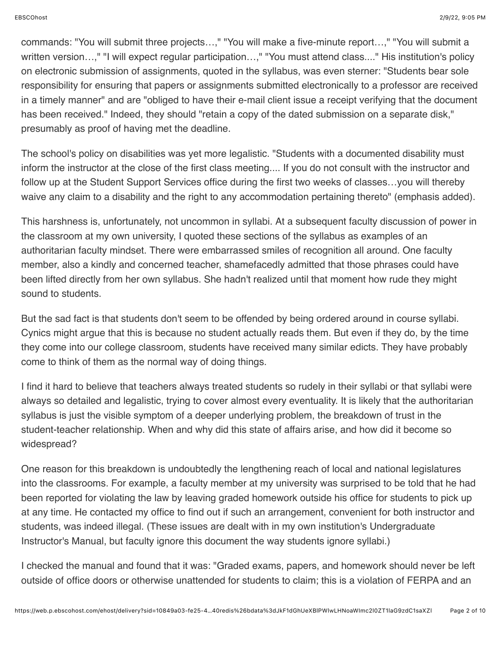commands: "You will submit three projects…," "You will make a five-minute report…," "You will submit a written version…," "I will expect regular participation…," "You must attend class...." His institution's policy on electronic submission of assignments, quoted in the syllabus, was even sterner: "Students bear sole responsibility for ensuring that papers or assignments submitted electronically to a professor are received in a timely manner" and are "obliged to have their e-mail client issue a receipt verifying that the document has been received." Indeed, they should "retain a copy of the dated submission on a separate disk," presumably as proof of having met the deadline.

The school's policy on disabilities was yet more legalistic. "Students with a documented disability must inform the instructor at the close of the first class meeting.... If you do not consult with the instructor and follow up at the Student Support Services office during the first two weeks of classes…you will thereby waive any claim to a disability and the right to any accommodation pertaining thereto" (emphasis added).

This harshness is, unfortunately, not uncommon in syllabi. At a subsequent faculty discussion of power in the classroom at my own university, I quoted these sections of the syllabus as examples of an authoritarian faculty mindset. There were embarrassed smiles of recognition all around. One faculty member, also a kindly and concerned teacher, shamefacedly admitted that those phrases could have been lifted directly from her own syllabus. She hadn't realized until that moment how rude they might sound to students.

But the sad fact is that students don't seem to be offended by being ordered around in course syllabi. Cynics might argue that this is because no student actually reads them. But even if they do, by the time they come into our college classroom, students have received many similar edicts. They have probably come to think of them as the normal way of doing things.

I find it hard to believe that teachers always treated students so rudely in their syllabi or that syllabi were always so detailed and legalistic, trying to cover almost every eventuality. It is likely that the authoritarian syllabus is just the visible symptom of a deeper underlying problem, the breakdown of trust in the student-teacher relationship. When and why did this state of affairs arise, and how did it become so widespread?

One reason for this breakdown is undoubtedly the lengthening reach of local and national legislatures into the classrooms. For example, a faculty member at my university was surprised to be told that he had been reported for violating the law by leaving graded homework outside his office for students to pick up at any time. He contacted my office to find out if such an arrangement, convenient for both instructor and students, was indeed illegal. (These issues are dealt with in my own institution's Undergraduate Instructor's Manual, but faculty ignore this document the way students ignore syllabi.)

I checked the manual and found that it was: "Graded exams, papers, and homework should never be left outside of office doors or otherwise unattended for students to claim; this is a violation of FERPA and an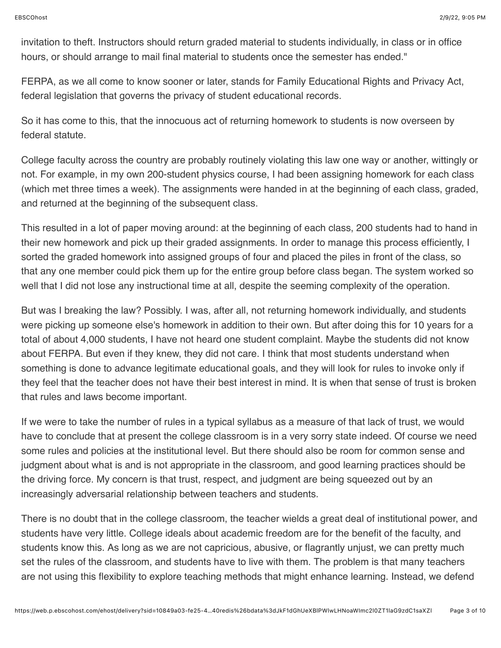invitation to theft. Instructors should return graded material to students individually, in class or in office hours, or should arrange to mail final material to students once the semester has ended."

FERPA, as we all come to know sooner or later, stands for Family Educational Rights and Privacy Act, federal legislation that governs the privacy of student educational records.

So it has come to this, that the innocuous act of returning homework to students is now overseen by federal statute.

College faculty across the country are probably routinely violating this law one way or another, wittingly or not. For example, in my own 200-student physics course, I had been assigning homework for each class (which met three times a week). The assignments were handed in at the beginning of each class, graded, and returned at the beginning of the subsequent class.

This resulted in a lot of paper moving around: at the beginning of each class, 200 students had to hand in their new homework and pick up their graded assignments. In order to manage this process efficiently, I sorted the graded homework into assigned groups of four and placed the piles in front of the class, so that any one member could pick them up for the entire group before class began. The system worked so well that I did not lose any instructional time at all, despite the seeming complexity of the operation.

But was I breaking the law? Possibly. I was, after all, not returning homework individually, and students were picking up someone else's homework in addition to their own. But after doing this for 10 years for a total of about 4,000 students, I have not heard one student complaint. Maybe the students did not know about FERPA. But even if they knew, they did not care. I think that most students understand when something is done to advance legitimate educational goals, and they will look for rules to invoke only if they feel that the teacher does not have their best interest in mind. It is when that sense of trust is broken that rules and laws become important.

If we were to take the number of rules in a typical syllabus as a measure of that lack of trust, we would have to conclude that at present the college classroom is in a very sorry state indeed. Of course we need some rules and policies at the institutional level. But there should also be room for common sense and judgment about what is and is not appropriate in the classroom, and good learning practices should be the driving force. My concern is that trust, respect, and judgment are being squeezed out by an increasingly adversarial relationship between teachers and students.

There is no doubt that in the college classroom, the teacher wields a great deal of institutional power, and students have very little. College ideals about academic freedom are for the benefit of the faculty, and students know this. As long as we are not capricious, abusive, or flagrantly unjust, we can pretty much set the rules of the classroom, and students have to live with them. The problem is that many teachers are not using this flexibility to explore teaching methods that might enhance learning. Instead, we defend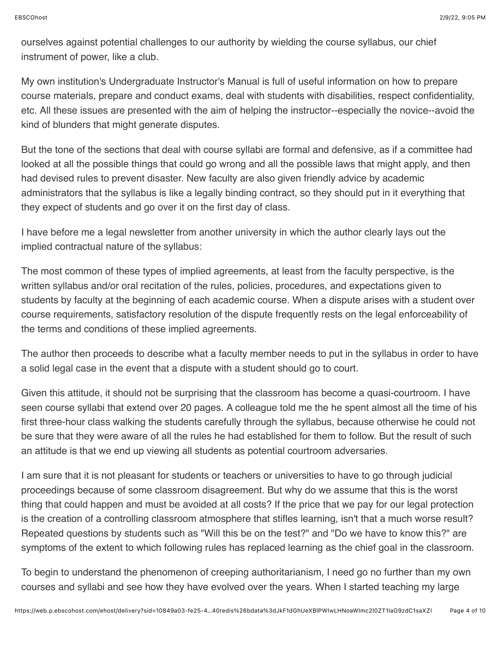ourselves against potential challenges to our authority by wielding the course syllabus, our chief instrument of power, like a club.

My own institution's Undergraduate Instructor's Manual is full of useful information on how to prepare course materials, prepare and conduct exams, deal with students with disabilities, respect confidentiality, etc. All these issues are presented with the aim of helping the instructor--especially the novice--avoid the kind of blunders that might generate disputes.

But the tone of the sections that deal with course syllabi are formal and defensive, as if a committee had looked at all the possible things that could go wrong and all the possible laws that might apply, and then had devised rules to prevent disaster. New faculty are also given friendly advice by academic administrators that the syllabus is like a legally binding contract, so they should put in it everything that they expect of students and go over it on the first day of class.

I have before me a legal newsletter from another university in which the author clearly lays out the implied contractual nature of the syllabus:

The most common of these types of implied agreements, at least from the faculty perspective, is the written syllabus and/or oral recitation of the rules, policies, procedures, and expectations given to students by faculty at the beginning of each academic course. When a dispute arises with a student over course requirements, satisfactory resolution of the dispute frequently rests on the legal enforceability of the terms and conditions of these implied agreements.

The author then proceeds to describe what a faculty member needs to put in the syllabus in order to have a solid legal case in the event that a dispute with a student should go to court.

Given this attitude, it should not be surprising that the classroom has become a quasi-courtroom. I have seen course syllabi that extend over 20 pages. A colleague told me the he spent almost all the time of his first three-hour class walking the students carefully through the syllabus, because otherwise he could not be sure that they were aware of all the rules he had established for them to follow. But the result of such an attitude is that we end up viewing all students as potential courtroom adversaries.

I am sure that it is not pleasant for students or teachers or universities to have to go through judicial proceedings because of some classroom disagreement. But why do we assume that this is the worst thing that could happen and must be avoided at all costs? If the price that we pay for our legal protection is the creation of a controlling classroom atmosphere that stifles learning, isn't that a much worse result? Repeated questions by students such as "Will this be on the test?" and "Do we have to know this?" are symptoms of the extent to which following rules has replaced learning as the chief goal in the classroom.

To begin to understand the phenomenon of creeping authoritarianism, I need go no further than my own courses and syllabi and see how they have evolved over the years. When I started teaching my large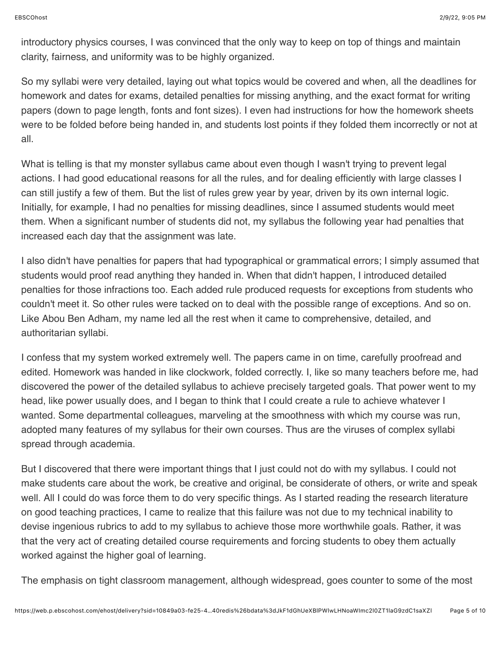introductory physics courses, I was convinced that the only way to keep on top of things and maintain clarity, fairness, and uniformity was to be highly organized.

So my syllabi were very detailed, laying out what topics would be covered and when, all the deadlines for homework and dates for exams, detailed penalties for missing anything, and the exact format for writing papers (down to page length, fonts and font sizes). I even had instructions for how the homework sheets were to be folded before being handed in, and students lost points if they folded them incorrectly or not at all.

What is telling is that my monster syllabus came about even though I wasn't trying to prevent legal actions. I had good educational reasons for all the rules, and for dealing efficiently with large classes I can still justify a few of them. But the list of rules grew year by year, driven by its own internal logic. Initially, for example, I had no penalties for missing deadlines, since I assumed students would meet them. When a significant number of students did not, my syllabus the following year had penalties that increased each day that the assignment was late.

I also didn't have penalties for papers that had typographical or grammatical errors; I simply assumed that students would proof read anything they handed in. When that didn't happen, I introduced detailed penalties for those infractions too. Each added rule produced requests for exceptions from students who couldn't meet it. So other rules were tacked on to deal with the possible range of exceptions. And so on. Like Abou Ben Adham, my name led all the rest when it came to comprehensive, detailed, and authoritarian syllabi.

I confess that my system worked extremely well. The papers came in on time, carefully proofread and edited. Homework was handed in like clockwork, folded correctly. I, like so many teachers before me, had discovered the power of the detailed syllabus to achieve precisely targeted goals. That power went to my head, like power usually does, and I began to think that I could create a rule to achieve whatever I wanted. Some departmental colleagues, marveling at the smoothness with which my course was run, adopted many features of my syllabus for their own courses. Thus are the viruses of complex syllabi spread through academia.

But I discovered that there were important things that I just could not do with my syllabus. I could not make students care about the work, be creative and original, be considerate of others, or write and speak well. All I could do was force them to do very specific things. As I started reading the research literature on good teaching practices, I came to realize that this failure was not due to my technical inability to devise ingenious rubrics to add to my syllabus to achieve those more worthwhile goals. Rather, it was that the very act of creating detailed course requirements and forcing students to obey them actually worked against the higher goal of learning.

The emphasis on tight classroom management, although widespread, goes counter to some of the most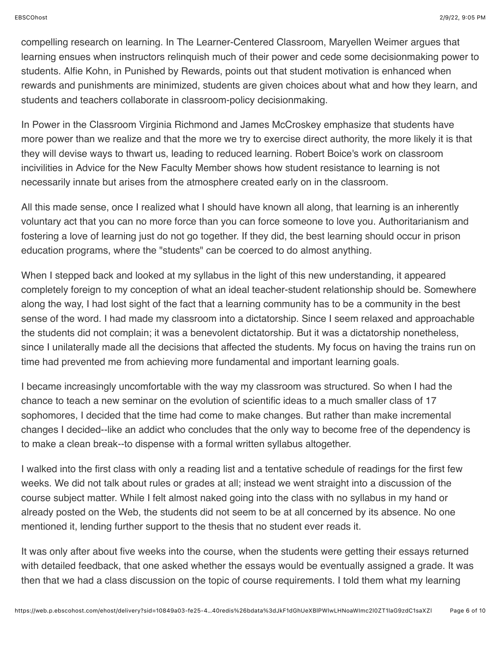compelling research on learning. In The Learner-Centered Classroom, Maryellen Weimer argues that learning ensues when instructors relinquish much of their power and cede some decisionmaking power to students. Alfie Kohn, in Punished by Rewards, points out that student motivation is enhanced when rewards and punishments are minimized, students are given choices about what and how they learn, and students and teachers collaborate in classroom-policy decisionmaking.

In Power in the Classroom Virginia Richmond and James McCroskey emphasize that students have more power than we realize and that the more we try to exercise direct authority, the more likely it is that they will devise ways to thwart us, leading to reduced learning. Robert Boice's work on classroom incivilities in Advice for the New Faculty Member shows how student resistance to learning is not necessarily innate but arises from the atmosphere created early on in the classroom.

All this made sense, once I realized what I should have known all along, that learning is an inherently voluntary act that you can no more force than you can force someone to love you. Authoritarianism and fostering a love of learning just do not go together. If they did, the best learning should occur in prison education programs, where the "students" can be coerced to do almost anything.

When I stepped back and looked at my syllabus in the light of this new understanding, it appeared completely foreign to my conception of what an ideal teacher-student relationship should be. Somewhere along the way, I had lost sight of the fact that a learning community has to be a community in the best sense of the word. I had made my classroom into a dictatorship. Since I seem relaxed and approachable the students did not complain; it was a benevolent dictatorship. But it was a dictatorship nonetheless, since I unilaterally made all the decisions that affected the students. My focus on having the trains run on time had prevented me from achieving more fundamental and important learning goals.

I became increasingly uncomfortable with the way my classroom was structured. So when I had the chance to teach a new seminar on the evolution of scientific ideas to a much smaller class of 17 sophomores, I decided that the time had come to make changes. But rather than make incremental changes I decided--like an addict who concludes that the only way to become free of the dependency is to make a clean break--to dispense with a formal written syllabus altogether.

I walked into the first class with only a reading list and a tentative schedule of readings for the first few weeks. We did not talk about rules or grades at all; instead we went straight into a discussion of the course subject matter. While I felt almost naked going into the class with no syllabus in my hand or already posted on the Web, the students did not seem to be at all concerned by its absence. No one mentioned it, lending further support to the thesis that no student ever reads it.

It was only after about five weeks into the course, when the students were getting their essays returned with detailed feedback, that one asked whether the essays would be eventually assigned a grade. It was then that we had a class discussion on the topic of course requirements. I told them what my learning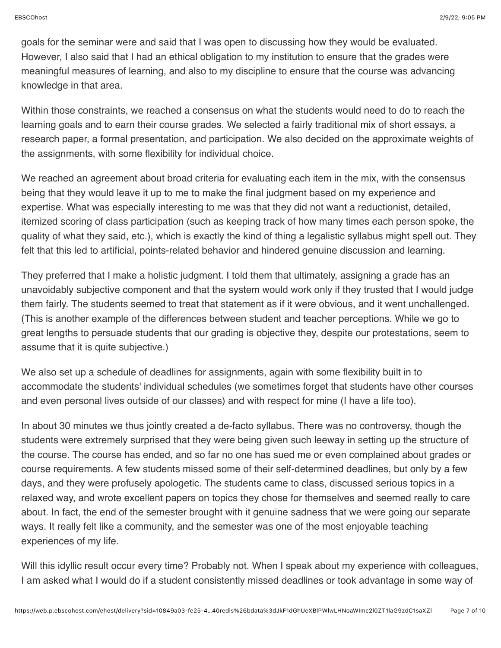goals for the seminar were and said that I was open to discussing how they would be evaluated. However, I also said that I had an ethical obligation to my institution to ensure that the grades were meaningful measures of learning, and also to my discipline to ensure that the course was advancing knowledge in that area.

Within those constraints, we reached a consensus on what the students would need to do to reach the learning goals and to earn their course grades. We selected a fairly traditional mix of short essays, a research paper, a formal presentation, and participation. We also decided on the approximate weights of the assignments, with some flexibility for individual choice.

We reached an agreement about broad criteria for evaluating each item in the mix, with the consensus being that they would leave it up to me to make the final judgment based on my experience and expertise. What was especially interesting to me was that they did not want a reductionist, detailed, itemized scoring of class participation (such as keeping track of how many times each person spoke, the quality of what they said, etc.), which is exactly the kind of thing a legalistic syllabus might spell out. They felt that this led to artificial, points-related behavior and hindered genuine discussion and learning.

They preferred that I make a holistic judgment. I told them that ultimately, assigning a grade has an unavoidably subjective component and that the system would work only if they trusted that I would judge them fairly. The students seemed to treat that statement as if it were obvious, and it went unchallenged. (This is another example of the differences between student and teacher perceptions. While we go to great lengths to persuade students that our grading is objective they, despite our protestations, seem to assume that it is quite subjective.)

We also set up a schedule of deadlines for assignments, again with some flexibility built in to accommodate the students' individual schedules (we sometimes forget that students have other courses and even personal lives outside of our classes) and with respect for mine (I have a life too).

In about 30 minutes we thus jointly created a de-facto syllabus. There was no controversy, though the students were extremely surprised that they were being given such leeway in setting up the structure of the course. The course has ended, and so far no one has sued me or even complained about grades or course requirements. A few students missed some of their self-determined deadlines, but only by a few days, and they were profusely apologetic. The students came to class, discussed serious topics in a relaxed way, and wrote excellent papers on topics they chose for themselves and seemed really to care about. In fact, the end of the semester brought with it genuine sadness that we were going our separate ways. It really felt like a community, and the semester was one of the most enjoyable teaching experiences of my life.

Will this idyllic result occur every time? Probably not. When I speak about my experience with colleagues, I am asked what I would do if a student consistently missed deadlines or took advantage in some way of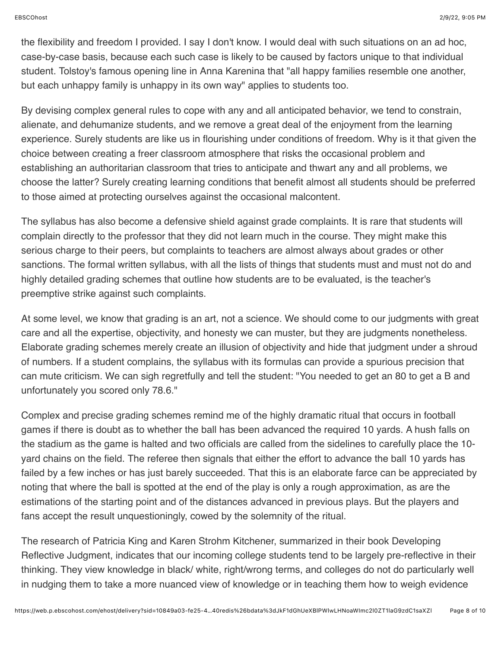the flexibility and freedom I provided. I say I don't know. I would deal with such situations on an ad hoc, case-by-case basis, because each such case is likely to be caused by factors unique to that individual student. Tolstoy's famous opening line in Anna Karenina that "all happy families resemble one another, but each unhappy family is unhappy in its own way" applies to students too.

By devising complex general rules to cope with any and all anticipated behavior, we tend to constrain, alienate, and dehumanize students, and we remove a great deal of the enjoyment from the learning experience. Surely students are like us in flourishing under conditions of freedom. Why is it that given the choice between creating a freer classroom atmosphere that risks the occasional problem and establishing an authoritarian classroom that tries to anticipate and thwart any and all problems, we choose the latter? Surely creating learning conditions that benefit almost all students should be preferred to those aimed at protecting ourselves against the occasional malcontent.

The syllabus has also become a defensive shield against grade complaints. It is rare that students will complain directly to the professor that they did not learn much in the course. They might make this serious charge to their peers, but complaints to teachers are almost always about grades or other sanctions. The formal written syllabus, with all the lists of things that students must and must not do and highly detailed grading schemes that outline how students are to be evaluated, is the teacher's preemptive strike against such complaints.

At some level, we know that grading is an art, not a science. We should come to our judgments with great care and all the expertise, objectivity, and honesty we can muster, but they are judgments nonetheless. Elaborate grading schemes merely create an illusion of objectivity and hide that judgment under a shroud of numbers. If a student complains, the syllabus with its formulas can provide a spurious precision that can mute criticism. We can sigh regretfully and tell the student: "You needed to get an 80 to get a B and unfortunately you scored only 78.6."

Complex and precise grading schemes remind me of the highly dramatic ritual that occurs in football games if there is doubt as to whether the ball has been advanced the required 10 yards. A hush falls on the stadium as the game is halted and two officials are called from the sidelines to carefully place the 10 yard chains on the field. The referee then signals that either the effort to advance the ball 10 yards has failed by a few inches or has just barely succeeded. That this is an elaborate farce can be appreciated by noting that where the ball is spotted at the end of the play is only a rough approximation, as are the estimations of the starting point and of the distances advanced in previous plays. But the players and fans accept the result unquestioningly, cowed by the solemnity of the ritual.

The research of Patricia King and Karen Strohm Kitchener, summarized in their book Developing Reflective Judgment, indicates that our incoming college students tend to be largely pre-reflective in their thinking. They view knowledge in black/ white, right/wrong terms, and colleges do not do particularly well in nudging them to take a more nuanced view of knowledge or in teaching them how to weigh evidence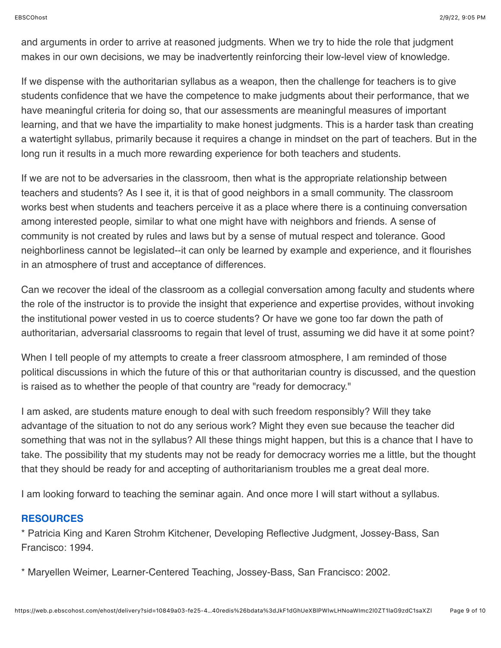and arguments in order to arrive at reasoned judgments. When we try to hide the role that judgment makes in our own decisions, we may be inadvertently reinforcing their low-level view of knowledge.

If we dispense with the authoritarian syllabus as a weapon, then the challenge for teachers is to give students confidence that we have the competence to make judgments about their performance, that we have meaningful criteria for doing so, that our assessments are meaningful measures of important learning, and that we have the impartiality to make honest judgments. This is a harder task than creating a watertight syllabus, primarily because it requires a change in mindset on the part of teachers. But in the long run it results in a much more rewarding experience for both teachers and students.

If we are not to be adversaries in the classroom, then what is the appropriate relationship between teachers and students? As I see it, it is that of good neighbors in a small community. The classroom works best when students and teachers perceive it as a place where there is a continuing conversation among interested people, similar to what one might have with neighbors and friends. A sense of community is not created by rules and laws but by a sense of mutual respect and tolerance. Good neighborliness cannot be legislated--it can only be learned by example and experience, and it flourishes in an atmosphere of trust and acceptance of differences.

Can we recover the ideal of the classroom as a collegial conversation among faculty and students where the role of the instructor is to provide the insight that experience and expertise provides, without invoking the institutional power vested in us to coerce students? Or have we gone too far down the path of authoritarian, adversarial classrooms to regain that level of trust, assuming we did have it at some point?

When I tell people of my attempts to create a freer classroom atmosphere, I am reminded of those political discussions in which the future of this or that authoritarian country is discussed, and the question is raised as to whether the people of that country are "ready for democracy."

I am asked, are students mature enough to deal with such freedom responsibly? Will they take advantage of the situation to not do any serious work? Might they even sue because the teacher did something that was not in the syllabus? All these things might happen, but this is a chance that I have to take. The possibility that my students may not be ready for democracy worries me a little, but the thought that they should be ready for and accepting of authoritarianism troubles me a great deal more.

I am looking forward to teaching the seminar again. And once more I will start without a syllabus.

## **[RESOURCES](https://web.p.ebscohost.com/ehost/delivery?sid=10849a03-fe25-4d80-8dc0-8b78d0d4728f%40redis&vid=3&ReturnUrl=https%3a%2f%2fweb.p.ebscohost.com%2fehost%2fdetail%2fdetail%3fvid%3d2%26sid%3d10849a03-fe25-4d80-8dc0-8b78d0d4728f%2540redis%26bdata%3dJkF1dGhUeXBlPWlwLHNoaWImc2l0ZT1laG9zdC1saXZl#toc)**

\* Patricia King and Karen Strohm Kitchener, Developing Reflective Judgment, Jossey-Bass, San Francisco: 1994.

\* Maryellen Weimer, Learner-Centered Teaching, Jossey-Bass, San Francisco: 2002.